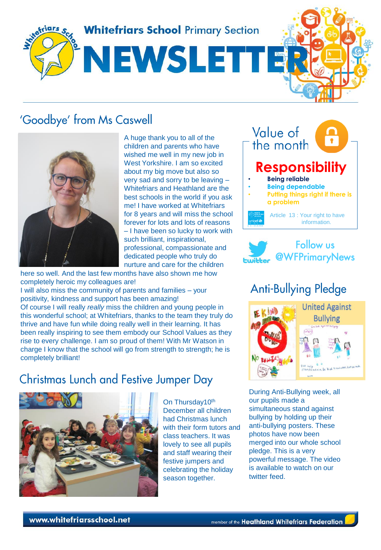

## 'Goodbye' from Ms Caswell



A huge thank you to all of the children and parents who have wished me well in my new job in West Yorkshire. I am so excited about my big move but also so very sad and sorry to be leaving – Whitefriars and Heathland are the best schools in the world if you ask me! I have worked at Whitefriars for 8 years and will miss the school forever for lots and lots of reasons – I have been so lucky to work with such brilliant, inspirational, professional, compassionate and dedicated people who truly do nurture and care for the children

here so well. And the last few months have also shown me how completely heroic my colleagues are! I will also miss the community of parents and families – your positivity, kindness and support has been amazing! Of course I will really *really* miss the children and young people in this wonderful school; at Whitefriars, thanks to the team they truly do thrive and have fun while doing really well in their learning. It has been really inspiring to see them embody our School Values as they rise to every challenge. I am so proud of them! With Mr Watson in charge I know that the school will go from strength to strength; he is completely brilliant!

## **Christmas Lunch and Festive Jumper Day**



On Thursday10<sup>th</sup> December all children had Christmas lunch with their form tutors and class teachers. It was lovely to see all pupils and staff wearing their festive jumpers and celebrating the holiday season together.





# **Anti-Bullying Pledge**



During Anti-Bullying week, all our pupils made a simultaneous stand against bullying by holding up their anti-bullying posters. These photos have now been merged into our whole school pledge. This is a very powerful message. The video is available to watch on our twitter feed.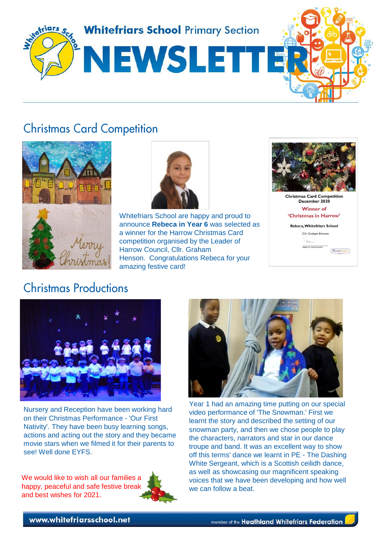

## **Christmas Card Competition**



**Christmas Productions** 



Whitefriars School are happy and proud to announce **Rebeca in Year 6** was selected as a winner for the Harrow Christmas Card competition organised by the Leader of Harrow Council, Cllr. Graham Henson. Congratulations Rebeca for your amazing festive card!



**Christmas Card Competition**<br>December 2020 **Winner of** 'Christmas in Harrow' Rebeca, Whitefriars School





Nursery and Reception have been working hard on their Christmas Performance - 'Our First Nativity'. They have been busy learning songs, actions and acting out the story and they became movie stars when we filmed it for their parents to see! Well done EYFS.

We would like to wish all our families a happy, peaceful and safe festive break and best wishes for 2021.





Year 1 had an amazing time putting on our special video performance of 'The Snowman.' First we learnt the story and described the setting of our snowman party, and then we chose people to play the characters, narrators and star in our dance troupe and band. It was an excellent way to show off this terms' dance we learnt in PE - The Dashing White Sergeant, which is a Scottish ceilidh dance, as well as showcasing our magnificent speaking voices that we have been developing and how well we can follow a beat.